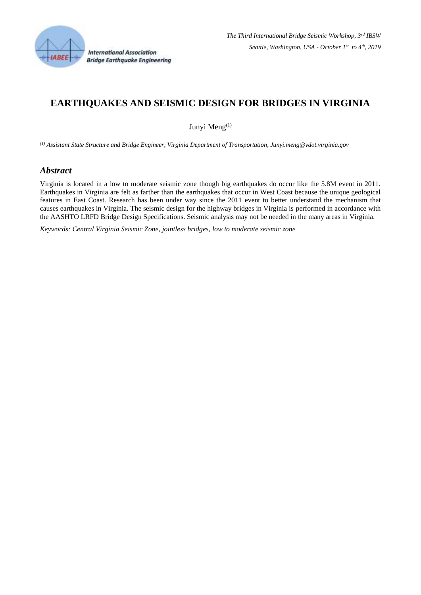

# **EARTHQUAKES AND SEISMIC DESIGN FOR BRIDGES IN VIRGINIA**

Junyi Meng<sup>(1)</sup>

*(1) Assistant State Structure and Bridge Engineer, Virginia Department of Transportation, Junyi.meng@vdot.virginia.gov*

### *Abstract*

Virginia is located in a low to moderate seismic zone though big earthquakes do occur like the 5.8M event in 2011. Earthquakes in Virginia are felt as farther than the earthquakes that occur in West Coast because the unique geological features in East Coast. Research has been under way since the 2011 event to better understand the mechanism that causes earthquakes in Virginia. The seismic design for the highway bridges in Virginia is performed in accordance with the AASHTO LRFD Bridge Design Specifications. Seismic analysis may not be needed in the many areas in Virginia.

*Keywords: Central Virginia Seismic Zone, jointless bridges, low to moderate seismic zone*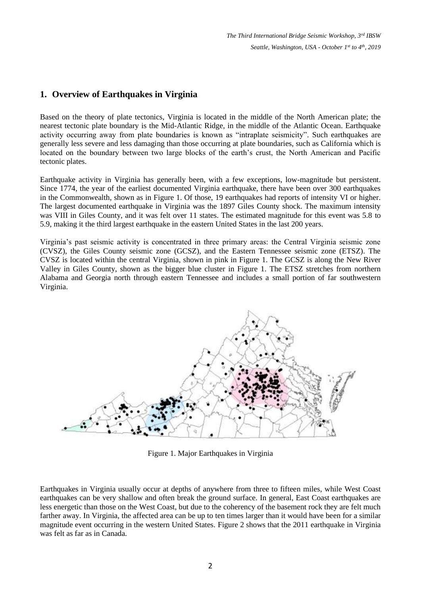## **1. Overview of Earthquakes in Virginia**

Based on the theory of plate tectonics, Virginia is located in the middle of the North American plate; the nearest tectonic plate boundary is the Mid-Atlantic Ridge, in the middle of the Atlantic Ocean. Earthquake activity occurring away from plate boundaries is known as "intraplate seismicity". Such earthquakes are generally less severe and less damaging than those occurring at plate boundaries, such as California which is located on the boundary between two large blocks of the earth's crust, the North American and Pacific tectonic plates.

Earthquake activity in Virginia has generally been, with a few exceptions, low-magnitude but persistent. Since 1774, the year of the earliest documented Virginia earthquake, there have been over 300 earthquakes in the Commonwealth, shown as in Figure 1. Of those, 19 earthquakes had reports of intensity VI or higher. The largest documented earthquake in Virginia was the 1897 Giles County shock. The maximum intensity was VIII in Giles County, and it was felt over 11 states. The estimated magnitude for this event was 5.8 to 5.9, making it the third largest earthquake in the eastern United States in the last 200 years.

Virginia's past seismic activity is concentrated in three primary areas: the Central Virginia seismic zone (CVSZ), the Giles County seismic zone (GCSZ), and the Eastern Tennessee seismic zone (ETSZ). The CVSZ is located within the central Virginia, shown in pink in Figure 1. The GCSZ is along the New River Valley in Giles County, shown as the bigger blue cluster in Figure 1. The ETSZ stretches from northern Alabama and Georgia north through eastern Tennessee and includes a small portion of far southwestern Virginia.



Figure 1. Major Earthquakes in Virginia

Earthquakes in Virginia usually occur at depths of anywhere from three to fifteen miles, while West Coast earthquakes can be very shallow and often break the ground surface. In general, East Coast earthquakes are less energetic than those on the West Coast, but due to the coherency of the basement rock they are felt much farther away. In Virginia, the affected area can be up to ten times larger than it would have been for a similar magnitude event occurring in the western United States. Figure 2 shows that the 2011 earthquake in Virginia was felt as far as in Canada.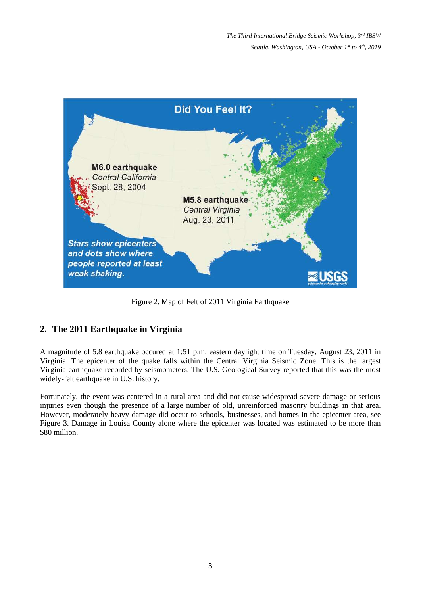

Figure 2. Map of Felt of 2011 Virginia Earthquake

## **2. The 2011 Earthquake in Virginia**

A magnitude of 5.8 earthquake occured at 1:51 p.m. eastern daylight time on Tuesday, August 23, 2011 in Virginia. The epicenter of the quake falls within the Central Virginia Seismic Zone. This is the largest Virginia earthquake recorded by seismometers. The U.S. Geological Survey reported that this was the most widely-felt earthquake in U.S. history.

Fortunately, the event was centered in a rural area and did not cause widespread severe damage or serious injuries even though the presence of a large number of old, unreinforced masonry buildings in that area. However, moderately heavy damage did occur to schools, businesses, and homes in the epicenter area, see Figure 3. Damage in Louisa County alone where the epicenter was located was estimated to be more than \$80 million.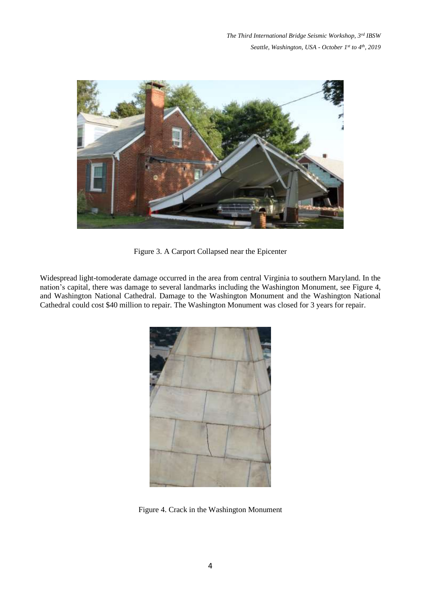*The Third International Bridge Seismic Workshop, 3rd IBSW Seattle, Washington, USA - October 1 st to 4th , 2019*



Figure 3. A Carport Collapsed near the Epicenter

Widespread light-tomoderate damage occurred in the area from central Virginia to southern Maryland. In the nation's capital, there was damage to several landmarks including the Washington Monument, see Figure 4, and Washington National Cathedral. Damage to the Washington Monument and the Washington National Cathedral could cost \$40 million to repair. The Washington Monument was closed for 3 years for repair.



Figure 4. Crack in the Washington Monument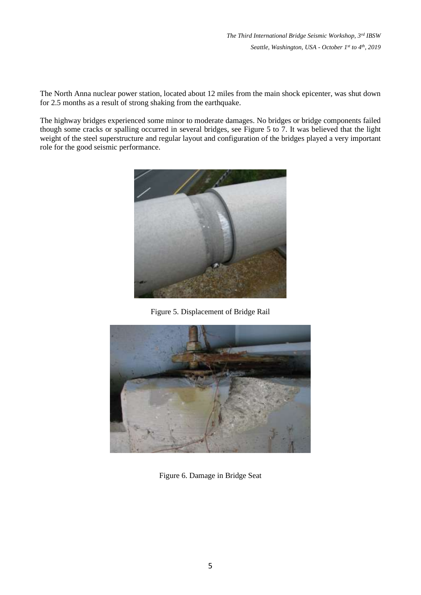*The Third International Bridge Seismic Workshop, 3rd IBSW Seattle, Washington, USA - October 1 st to 4th , 2019*

The North Anna nuclear power station, located about 12 miles from the main shock epicenter, was shut down for 2.5 months as a result of strong shaking from the earthquake.

The highway bridges experienced some minor to moderate damages. No bridges or bridge components failed though some cracks or spalling occurred in several bridges, see Figure 5 to 7. It was believed that the light weight of the steel superstructure and regular layout and configuration of the bridges played a very important role for the good seismic performance.



Figure 5. Displacement of Bridge Rail



Figure 6. Damage in Bridge Seat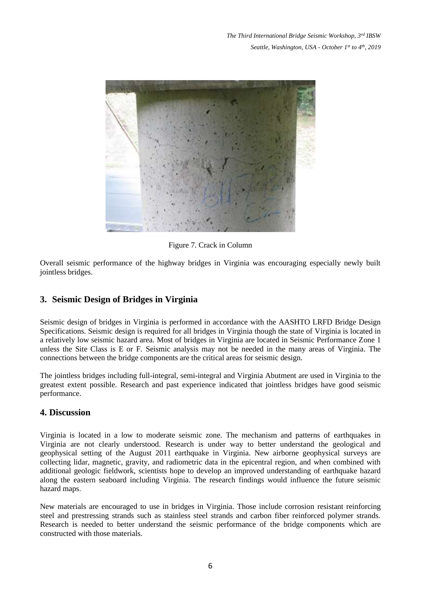

Figure 7. Crack in Column

Overall seismic performance of the highway bridges in Virginia was encouraging especially newly built jointless bridges.

## **3. Seismic Design of Bridges in Virginia**

Seismic design of bridges in Virginia is performed in accordance with the AASHTO LRFD Bridge Design Specifications. Seismic design is required for all bridges in Virginia though the state of Virginia is located in a relatively low seismic hazard area. Most of bridges in Virginia are located in Seismic Performance Zone 1 unless the Site Class is E or F. Seismic analysis may not be needed in the many areas of Virginia. The connections between the bridge components are the critical areas for seismic design.

The jointless bridges including full-integral, semi-integral and Virginia Abutment are used in Virginia to the greatest extent possible. Research and past experience indicated that jointless bridges have good seismic performance.

### **4. Discussion**

Virginia is located in a low to moderate seismic zone. The mechanism and patterns of earthquakes in Virginia are not clearly understood. Research is under way to better understand the geological and geophysical setting of the August 2011 earthquake in Virginia. New airborne geophysical surveys are collecting lidar, magnetic, gravity, and radiometric data in the epicentral region, and when combined with additional geologic fieldwork, scientists hope to develop an improved understanding of earthquake hazard along the eastern seaboard including Virginia. The research findings would influence the future seismic hazard maps.

New materials are encouraged to use in bridges in Virginia. Those include corrosion resistant reinforcing steel and prestressing strands such as stainless steel strands and carbon fiber reinforced polymer strands. Research is needed to better understand the seismic performance of the bridge components which are constructed with those materials.